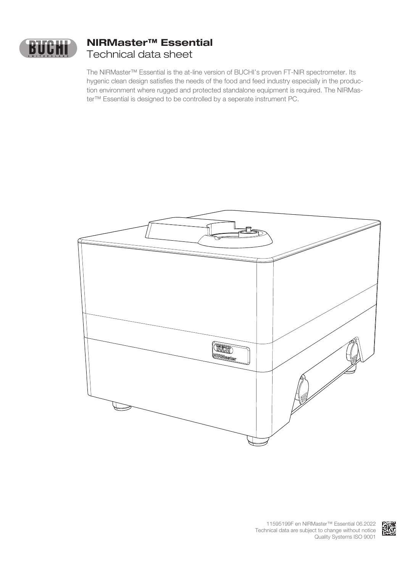

# **NIRMaster™ Essential** Technical data sheet

The NIRMaster™ Essential is the at-line version of BUCHI's proven FT-NIR spectrometer. Its hygenic clean design satisfies the needs of the food and feed industry especially in the production environment where rugged and protected standalone equipment is required. The NIRMaster™ Essential is designed to be controlled by a seperate instrument PC.



KK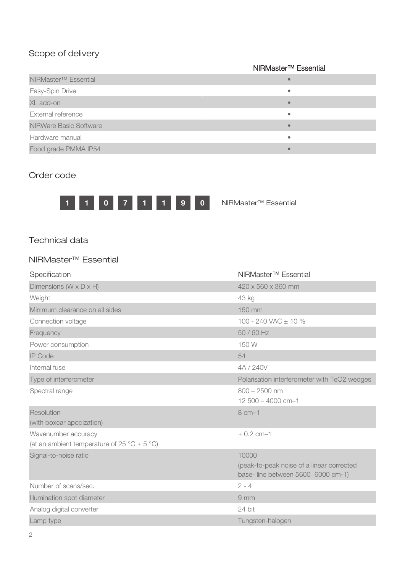## Scope of delivery

#### NIRMaster™ Essential

| NIRMaster <sup>™</sup> Essential |  |
|----------------------------------|--|
| Easy-Spin Drive                  |  |
| XL add-on                        |  |
| External reference               |  |
| <b>NIRWare Basic Software</b>    |  |
| Hardware manual                  |  |
| Food grade PMMA IP54             |  |

#### Order code



#### Technical data

### NIRMaster™ Essential

| Specification                                   | NIRMaster <sup>™</sup> Essential                                               |
|-------------------------------------------------|--------------------------------------------------------------------------------|
| Dimensions ( $W \times D \times H$ )            | 420 x 560 x 360 mm                                                             |
| Weight                                          | 43 kg                                                                          |
| Minimum clearance on all sides                  | 150 mm                                                                         |
| Connection voltage                              | 100 - 240 VAC $\pm$ 10 %                                                       |
| Frequency                                       | 50 / 60 Hz                                                                     |
| Power consumption                               | 150 W                                                                          |
| <b>IP Code</b>                                  | 54                                                                             |
| Internal fuse                                   | 4A / 240V                                                                      |
| Type of interferometer                          | Polarisation interferometer with TeO2 wedges                                   |
| Spectral range                                  | $800 - 2500$ nm                                                                |
|                                                 | $12500 - 4000$ cm-1                                                            |
| Resolution                                      | 8 cm-1                                                                         |
| (with boxcar apodization)                       |                                                                                |
| Wavenumber accuracy                             | $± 0.2$ cm-1                                                                   |
| (at an ambient temperature of 25 °C $\pm$ 5 °C) |                                                                                |
| Signal-to-noise ratio                           | 10000                                                                          |
|                                                 | (peak-to-peak noise of a linear corrected<br>base-line between 5600-6000 cm-1) |
| Number of scans/sec.                            | $2 - 4$                                                                        |
| Illumination spot diameter                      | 9 <sub>mm</sub>                                                                |
| Analog digital converter                        | 24 bit                                                                         |
| Lamp type                                       | Tungsten-halogen                                                               |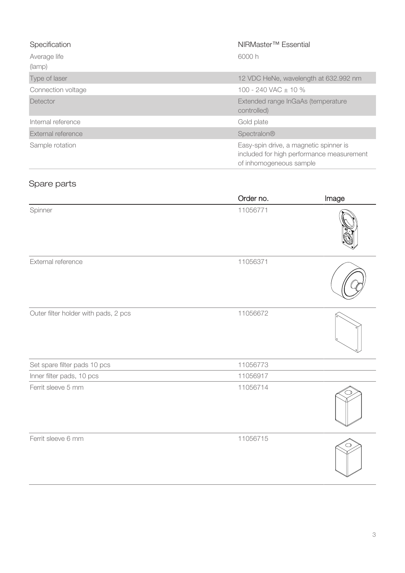| Specification             | NIRMaster <sup>™</sup> Essential                                                                               |
|---------------------------|----------------------------------------------------------------------------------------------------------------|
| Average life<br>(lamp)    | 6000 h                                                                                                         |
| Type of laser             | 12 VDC HeNe, wavelength at 632.992 nm                                                                          |
| Connection voltage        | 100 - 240 VAC $\pm$ 10 %                                                                                       |
| Detector                  | Extended range InGaAs (temperature<br>controlled)                                                              |
| Internal reference        | Gold plate                                                                                                     |
| <b>External reference</b> | Spectralon®                                                                                                    |
| Sample rotation           | Easy-spin drive, a magnetic spinner is<br>included for high performance measurement<br>of inhomogeneous sample |

# Spare parts

|                                      | Order no. | Image |
|--------------------------------------|-----------|-------|
| Spinner                              | 11056771  |       |
| External reference                   | 11056371  |       |
| Outer filter holder with pads, 2 pcs | 11056672  |       |
| Set spare filter pads 10 pcs         | 11056773  |       |
| Inner filter pads, 10 pcs            | 11056917  |       |
| Ferrit sleeve 5 mm                   | 11056714  |       |
| Ferrit sleeve 6 mm                   | 11056715  |       |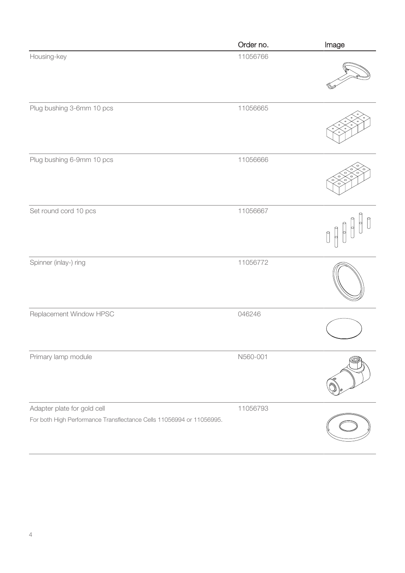|                                                                      | Order no. | Image |
|----------------------------------------------------------------------|-----------|-------|
| Housing-key                                                          | 11056766  |       |
| Plug bushing 3-6mm 10 pcs                                            | 11056665  |       |
| Plug bushing 6-9mm 10 pcs                                            | 11056666  |       |
| Set round cord 10 pcs                                                | 11056667  |       |
| Spinner (inlay-) ring                                                | 11056772  |       |
| Replacement Window HPSC                                              | 046246    |       |
| Primary lamp module                                                  | N560-001  |       |
| Adapter plate for gold cell                                          | 11056793  |       |
| For both High Performance Transflectance Cells 11056994 or 11056995. |           |       |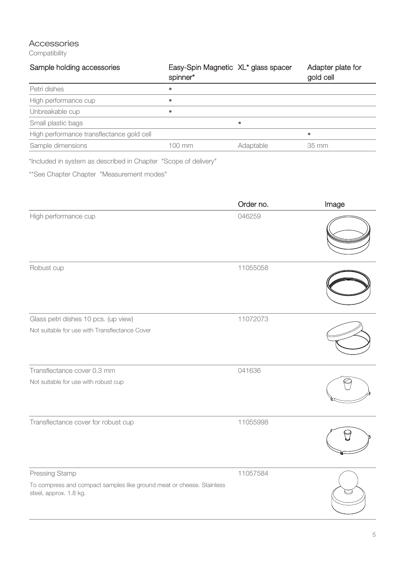## Accessories

**Compatibility** 

| Sample holding accessories                | Easy-Spin Magnetic XL* glass spacer<br>spinner* |           | Adapter plate for<br>gold cell |
|-------------------------------------------|-------------------------------------------------|-----------|--------------------------------|
| Petri dishes                              | ٠                                               |           |                                |
| High performance cup                      | ٠                                               |           |                                |
| Unbreakable cup                           | ٠                                               |           |                                |
| Small plastic bags                        |                                                 | ۰         |                                |
| High performance transflectance gold cell |                                                 |           | ۰                              |
| Sample dimensions                         | 100 mm                                          | Adaptable | 35 mm                          |

\*Included in system as described in Chapter "Scope of delivery"

\*\*See Chapter Chapter "Measurement modes"

|                                                                                                 | Order no. | Image |
|-------------------------------------------------------------------------------------------------|-----------|-------|
| High performance cup                                                                            | 046259    |       |
| Robust cup                                                                                      | 11055058  |       |
| Glass petri dishes 10 pcs. (up view)                                                            | 11072073  |       |
| Not suitable for use with Transflectance Cover                                                  |           |       |
| Transflectance cover 0.3 mm                                                                     | 041636    |       |
| Not suitable for use with robust cup                                                            |           |       |
| Transflectance cover for robust cup                                                             | 11055998  |       |
| Pressing Stamp                                                                                  | 11057584  |       |
| To compress and compact samples like ground meat or cheese. Stainless<br>steel, approx. 1.8 kg. |           |       |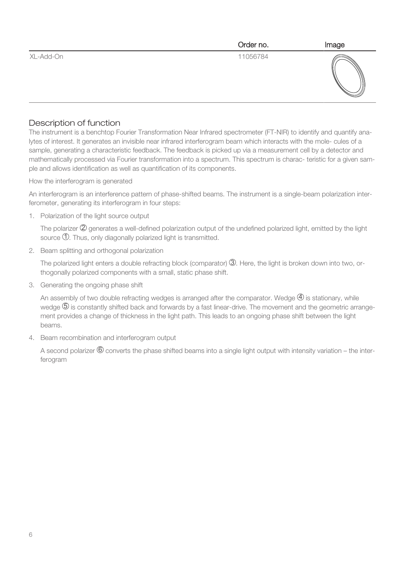|           | Order no. | Image |
|-----------|-----------|-------|
| XL-Add-On | 11056784  |       |

#### Description of function

The instrument is a benchtop Fourier Transformation Near Infrared spectrometer (FT-NIR) to identify and quantify analytes of interest. It generates an invisible near infrared interferogram beam which interacts with the mole- cules of a sample, generating a characteristic feedback. The feedback is picked up via a measurement cell by a detector and mathematically processed via Fourier transformation into a spectrum. This spectrum is charac- teristic for a given sample and allows identification as well as quantification of its components.

How the interferogram is generated

An interferogram is an interference pattern of phase-shifted beams. The instrument is a single-beam polarization interferometer, generating its interferogram in four steps:

1. Polarization of the light source output

The polarizer  $\mathcal Q$  generates a well-defined polarization output of the undefined polarized light, emitted by the light source 1 . Thus, only diagonally polarized light is transmitted.

2. Beam splitting and orthogonal polarization

The polarized light enters a double refracting block (comparator)  $\mathbb G$ . Here, the light is broken down into two, orthogonally polarized components with a small, static phase shift.

3. Generating the ongoing phase shift

An assembly of two double refracting wedges is arranged after the comparator. Wedge  $\Phi$  is stationary, while wedge 5 is constantly shifted back and forwards by a fast linear-drive. The movement and the geometric arrangement provides a change of thickness in the light path. This leads to an ongoing phase shift between the light beams.

4. Beam recombination and interferogram output

A second polarizer  $\textcircled{\textrm{}}$  converts the phase shifted beams into a single light output with intensity variation – the interferogram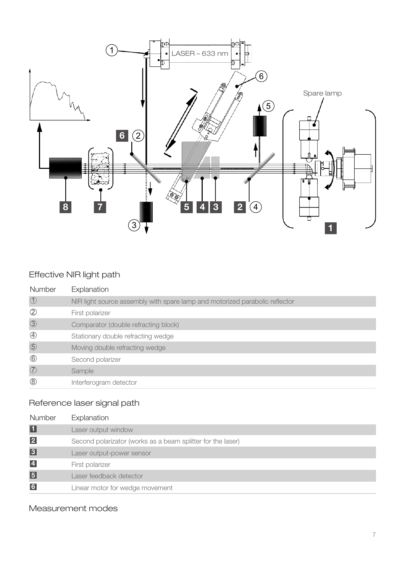

# Effective NIR light path

| Number        | Explanation                                                                 |
|---------------|-----------------------------------------------------------------------------|
| $\bigcirc$    | NIR light source assembly with spare lamp and motorized parabolic reflector |
| $\circled{2}$ | First polarizer                                                             |
| $\circled{3}$ | Comparator (double refracting block)                                        |
| $\bigcirc$    | Stationary double refracting wedge                                          |
| $\circledS$   | Moving double refracting wedge                                              |
| $\circled6$   | Second polarizer                                                            |
| $\circled{7}$ | Sample                                                                      |
| $\circledS$   | Interferogram detector                                                      |

# Reference laser signal path

| Number                  | Explanation                                                 |
|-------------------------|-------------------------------------------------------------|
| $\blacksquare$          | Laser output window                                         |
| $\overline{2}$          | Second polarizator (works as a beam splitter for the laser) |
| $\overline{3}$          | Laser output-power sensor                                   |
| $\overline{\mathbf{4}}$ | First polarizer                                             |
| $\overline{5}$          | Laser feedback detector                                     |
| $\overline{6}$          | Linear motor for wedge movement                             |

## Measurement modes